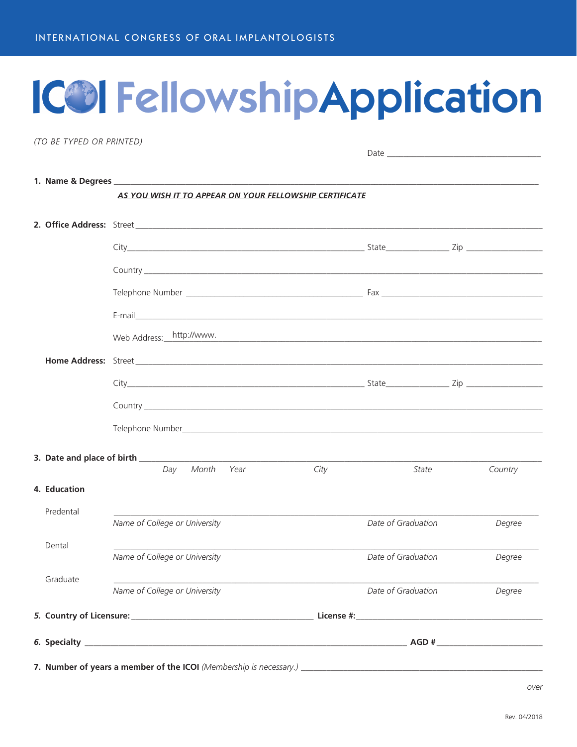# **ICO FellowshipApplication**

(TO BE TYPED OR PRINTED)

|              |                                                         |      | Date and the contract of the contract of the contract of the contract of the contract of the contract of the contract of the contract of the contract of the contract of the contract of the contract of the contract of the c |         |
|--------------|---------------------------------------------------------|------|--------------------------------------------------------------------------------------------------------------------------------------------------------------------------------------------------------------------------------|---------|
|              |                                                         |      |                                                                                                                                                                                                                                |         |
|              | AS YOU WISH IT TO APPEAR ON YOUR FELLOWSHIP CERTIFICATE |      |                                                                                                                                                                                                                                |         |
|              |                                                         |      |                                                                                                                                                                                                                                |         |
|              |                                                         |      |                                                                                                                                                                                                                                |         |
|              |                                                         |      |                                                                                                                                                                                                                                |         |
|              |                                                         |      |                                                                                                                                                                                                                                |         |
|              |                                                         |      |                                                                                                                                                                                                                                |         |
|              | Web Address: http://www.                                |      | and the control of the control of the control of the control of the control of the control of the control of the                                                                                                               |         |
|              |                                                         |      |                                                                                                                                                                                                                                |         |
|              |                                                         |      |                                                                                                                                                                                                                                |         |
|              |                                                         |      |                                                                                                                                                                                                                                |         |
|              |                                                         |      |                                                                                                                                                                                                                                |         |
|              |                                                         |      |                                                                                                                                                                                                                                |         |
|              | Month<br>Year<br>Day                                    | City | State                                                                                                                                                                                                                          | Country |
| 4. Education |                                                         |      |                                                                                                                                                                                                                                |         |
| Predental    | Name of College or University                           |      | Date of Graduation                                                                                                                                                                                                             | Degree  |
| Dental       |                                                         |      |                                                                                                                                                                                                                                |         |
|              | Name of College or University                           |      | Date of Graduation                                                                                                                                                                                                             | Degree  |
| Graduate     | Name of College or University                           |      | Date of Graduation                                                                                                                                                                                                             | Degree  |
|              |                                                         |      |                                                                                                                                                                                                                                |         |
|              |                                                         |      |                                                                                                                                                                                                                                |         |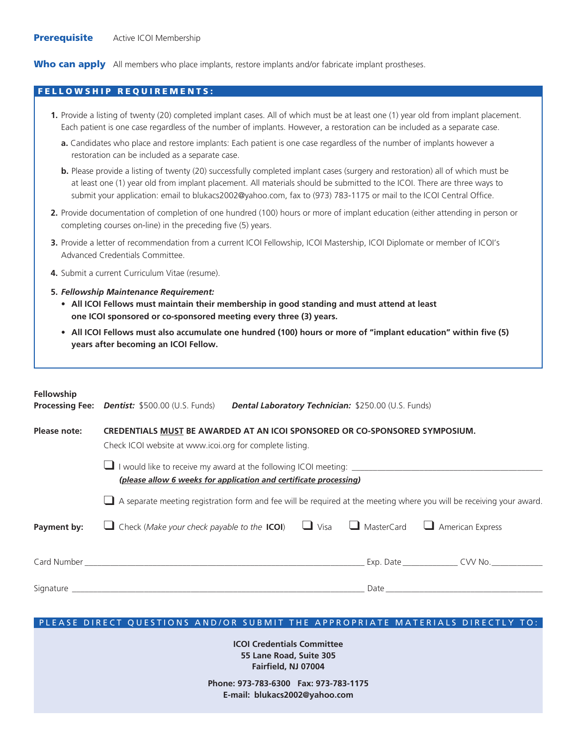Who can apply All members who place implants, restore implants and/or fabricate implant prostheses.

#### FELLOWSHIP REQUIREMENTS:

- **1.** Provide a listing of twenty (20) completed implant cases. All of which must be at least one (1) year old from implant placement. Each patient is one case regardless of the number of implants. However, a restoration can be included as a separate case.
	- **a.** Candidates who place and restore implants: Each patient is one case regardless of the number of implants however a restoration can be included as a separate case.
	- **b.** Please provide a listing of twenty (20) successfully completed implant cases (surgery and restoration) all of which must be at least one (1) year old from implant placement. All materials should be submitted to the ICOI. There are three ways to submit your application: email to [blukacs2002@yahoo.com,](mailto:blukacs2002@yahoo.com) fax to (973) 783-1175 or mail to the ICOI Central Office.
- **2.** Provide documentation of completion of one hundred (100) hours or more of implant education (either attending in person or completing courses on-line) in the preceding five (5) years.
- **3.** Provide a letter of recommendation from a current ICOI Fellowship, ICOI Mastership, ICOI Diplomate or member of ICOI's Advanced Credentials Committee.
- **4.** Submit a current Curriculum Vitae (resume).
- **5.** *Fellowship Maintenance Requirement:*
	- **• All ICOI Fellows must maintain their membership in good standing and must attend at least one ICOI sponsored or co-sponsored meeting every three (3) years.**
	- **• All ICOI Fellows must also accumulate one hundred (100) hours or more of "implant education" within five (5) years after becoming an ICOI Fellow.**

| <b>Fellowship</b> | <b>Processing Fee: Dentist: \$500.00 (U.S. Funds)</b>                                                                                                                                                                         |  | Dental Laboratory Technician: \$250.00 (U.S. Funds) |                         |  |  |  |  |
|-------------------|-------------------------------------------------------------------------------------------------------------------------------------------------------------------------------------------------------------------------------|--|-----------------------------------------------------|-------------------------|--|--|--|--|
| Please note:      | CREDENTIALS MUST BE AWARDED AT AN ICOI SPONSORED OR CO-SPONSORED SYMPOSIUM.<br>Check ICOI website at www.icoi.org for complete listing.                                                                                       |  |                                                     |                         |  |  |  |  |
|                   | I would like to receive my award at the following ICOI meeting: ________________<br>(please allow 6 weeks for application and certificate processing)                                                                         |  |                                                     |                         |  |  |  |  |
|                   | A separate meeting registration form and fee will be required at the meeting where you will be receiving your award.                                                                                                          |  |                                                     |                         |  |  |  |  |
| Payment by:       | $\Box$ Check (Make your check payable to the <b>ICOI</b> ) $\Box$ Visa $\Box$ MasterCard                                                                                                                                      |  |                                                     | $\Box$ American Express |  |  |  |  |
|                   |                                                                                                                                                                                                                               |  |                                                     | Exp. Date CVV No.       |  |  |  |  |
|                   | Signature and the state of the state of the state of the state of the state of the state of the state of the state of the state of the state of the state of the state of the state of the state of the state of the state of |  | Date                                                |                         |  |  |  |  |

### PLEASE DIRECT QUESTIONS AND/OR SUBMIT THE APPROPRIATE MATERIALS DIRECTLY TO:

**ICOI Credentials Committee 55 Lane Road, Suite 305 Fairfield, NJ 07004**

**Phone: 973-783-6300 Fax: 973-783-1175 E-mail: [blukacs2002@yahoo.com](mailto:blukacs2002@yahoo.com)**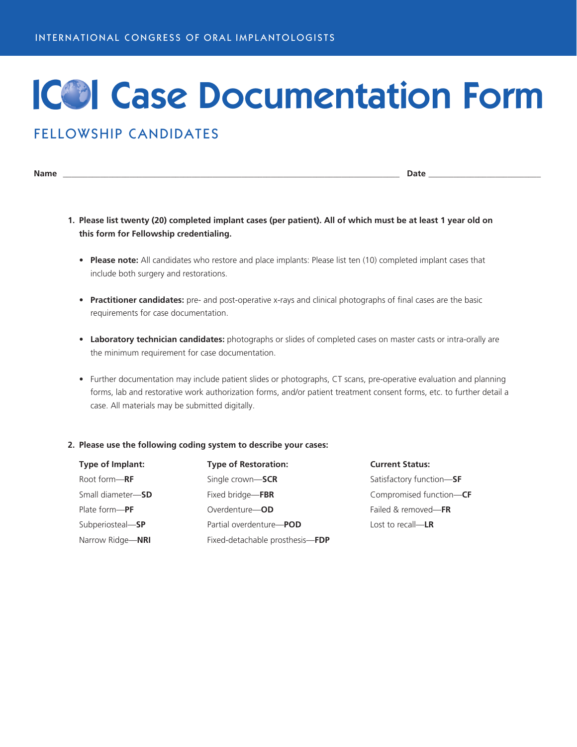## **ICOI Case Documentation Form**

### FELLOWSHIP CANDIDATES

**Name** \_\_\_\_\_\_\_\_\_\_\_\_\_\_\_\_\_\_\_\_\_\_\_\_\_\_\_\_\_\_\_\_\_\_\_\_\_\_\_\_\_\_\_\_\_\_\_\_\_\_\_\_\_\_\_\_\_\_\_\_\_\_\_\_\_\_\_\_\_\_\_\_\_\_\_\_\_\_\_\_\_ **Date** \_\_\_\_\_\_\_\_\_\_\_\_\_\_\_\_\_\_\_\_\_\_\_\_\_\_\_

- **1. Please list twenty (20) completed implant cases (per patient). All of which must be at least 1 year old on this form for Fellowship credentialing.** 
	- **Please note:** All candidates who restore and place implants: Please list ten (10) completed implant cases that include both surgery and restorations.
	- **Practitioner candidates:** pre- and post-operative x-rays and clinical photographs of final cases are the basic requirements for case documentation.
	- **Laboratory technician candidates:** photographs or slides of completed cases on master casts or intra-orally are the minimum requirement for case documentation.
	- Further documentation may include patient slides or photographs, CT scans, pre-operative evaluation and planning forms, lab and restorative work authorization forms, and/or patient treatment consent forms, etc. to further detail a case. All materials may be submitted digitally.

#### **2. Please use the following coding system to describe your cases:**

| Type of Implant:  | <b>Type of Restoration:</b>     |  |  |  |  |
|-------------------|---------------------------------|--|--|--|--|
| Root form-RF      | Single crown-SCR                |  |  |  |  |
| Small diameter-SD | Fixed bridge-FBR                |  |  |  |  |
| Plate form-PF     | Overdenture-OD                  |  |  |  |  |
| Subperiosteal-SP  | Partial overdenture-POD         |  |  |  |  |
| Narrow Ridge-NRI  | Fixed-detachable prosthesis-FDP |  |  |  |  |

**Type of Implant: Type of Restoration: Current Status:** Root form—**RF** Single crown—**SCR** Satisfactory function—**SF** Small diameter—**SD** Fixed bridge—**FBR** Compromised function—**CF**  Failed & removed-FR Lost to recall—**LR**